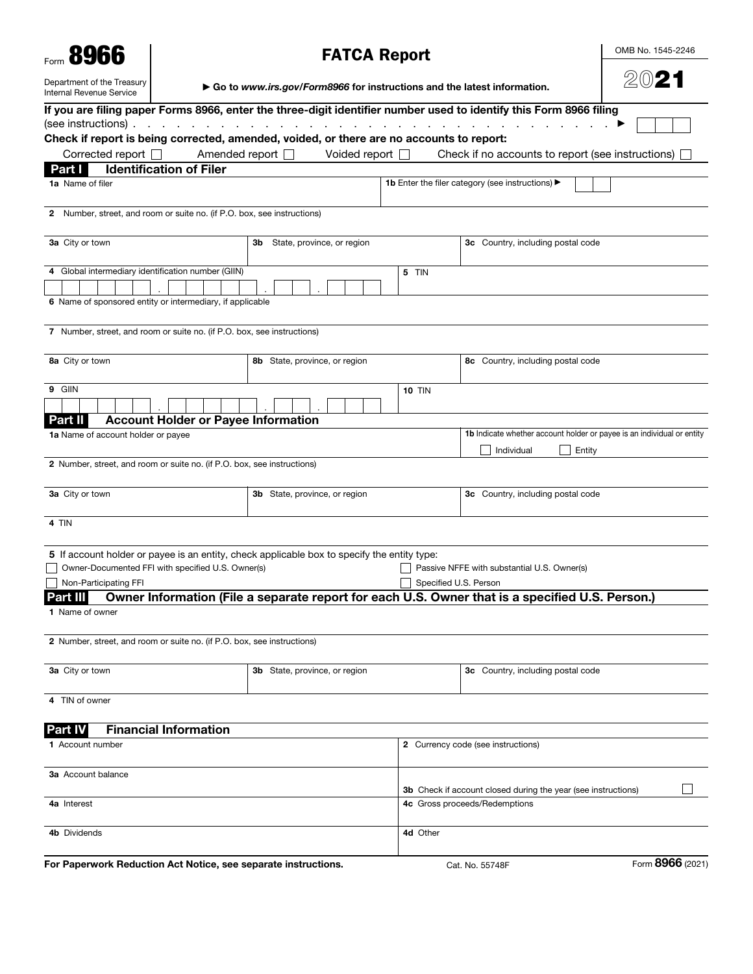| 8966                                                                                                                                                                                            |                                                                         | <b>FATCA Report</b>                                                                                             |                       |                                                                                                                    | OMB No. 1545-2246 |  |
|-------------------------------------------------------------------------------------------------------------------------------------------------------------------------------------------------|-------------------------------------------------------------------------|-----------------------------------------------------------------------------------------------------------------|-----------------------|--------------------------------------------------------------------------------------------------------------------|-------------------|--|
| Department of the Treasury<br>Internal Revenue Service                                                                                                                                          | Go to www.irs.gov/Form8966 for instructions and the latest information. |                                                                                                                 |                       | 2021                                                                                                               |                   |  |
|                                                                                                                                                                                                 |                                                                         |                                                                                                                 |                       | If you are filing paper Forms 8966, enter the three-digit identifier number used to identify this Form 8966 filing |                   |  |
| (see instructions)                                                                                                                                                                              |                                                                         | the contract of the contract of the contract of the contract of the contract of the contract of the contract of |                       | and a state of the state of the state                                                                              |                   |  |
|                                                                                                                                                                                                 |                                                                         | Check if report is being corrected, amended, voided, or there are no accounts to report:                        |                       |                                                                                                                    |                   |  |
| Corrected report $\Box$                                                                                                                                                                         | Amended report <sub>[1]</sub>                                           | Voided report $\Box$                                                                                            |                       | Check if no accounts to report (see instructions)                                                                  |                   |  |
| <b>Identification of Filer</b><br>Part I                                                                                                                                                        |                                                                         |                                                                                                                 |                       |                                                                                                                    |                   |  |
| 1a Name of filer                                                                                                                                                                                |                                                                         |                                                                                                                 |                       | 1b Enter the filer category (see instructions) >                                                                   |                   |  |
| 2 Number, street, and room or suite no. (if P.O. box, see instructions)                                                                                                                         |                                                                         |                                                                                                                 |                       |                                                                                                                    |                   |  |
| 3a City or town                                                                                                                                                                                 |                                                                         | 3b State, province, or region                                                                                   |                       | 3c Country, including postal code                                                                                  |                   |  |
| 4 Global intermediary identification number (GIIN)                                                                                                                                              |                                                                         |                                                                                                                 | 5 TIN                 |                                                                                                                    |                   |  |
|                                                                                                                                                                                                 |                                                                         |                                                                                                                 |                       |                                                                                                                    |                   |  |
| 6 Name of sponsored entity or intermediary, if applicable                                                                                                                                       |                                                                         |                                                                                                                 |                       |                                                                                                                    |                   |  |
|                                                                                                                                                                                                 |                                                                         |                                                                                                                 |                       |                                                                                                                    |                   |  |
| 7 Number, street, and room or suite no. (if P.O. box, see instructions)                                                                                                                         |                                                                         |                                                                                                                 |                       |                                                                                                                    |                   |  |
| 8a City or town                                                                                                                                                                                 |                                                                         | 8b State, province, or region                                                                                   |                       | 8c Country, including postal code                                                                                  |                   |  |
|                                                                                                                                                                                                 |                                                                         |                                                                                                                 |                       |                                                                                                                    |                   |  |
| 9 GIIN                                                                                                                                                                                          |                                                                         |                                                                                                                 | <b>10 TIN</b>         |                                                                                                                    |                   |  |
|                                                                                                                                                                                                 |                                                                         |                                                                                                                 |                       |                                                                                                                    |                   |  |
| Part II                                                                                                                                                                                         | <b>Account Holder or Payee Information</b>                              |                                                                                                                 |                       |                                                                                                                    |                   |  |
| 1a Name of account holder or payee                                                                                                                                                              |                                                                         |                                                                                                                 |                       | 1b Indicate whether account holder or payee is an individual or entity                                             |                   |  |
| 2 Number, street, and room or suite no. (if P.O. box, see instructions)                                                                                                                         |                                                                         |                                                                                                                 |                       | Individual<br>Entity                                                                                               |                   |  |
|                                                                                                                                                                                                 |                                                                         |                                                                                                                 |                       |                                                                                                                    |                   |  |
| 3a City or town                                                                                                                                                                                 | <b>3b</b> State, province, or region                                    |                                                                                                                 |                       | <b>3c</b> Country, including postal code                                                                           |                   |  |
| 4 TIN                                                                                                                                                                                           |                                                                         |                                                                                                                 |                       |                                                                                                                    |                   |  |
|                                                                                                                                                                                                 |                                                                         |                                                                                                                 |                       |                                                                                                                    |                   |  |
| 5 If account holder or payee is an entity, check applicable box to specify the entity type:<br>Owner-Documented FFI with specified U.S. Owner(s)<br>Passive NFFE with substantial U.S. Owner(s) |                                                                         |                                                                                                                 |                       |                                                                                                                    |                   |  |
| Non-Participating FFI                                                                                                                                                                           |                                                                         |                                                                                                                 | Specified U.S. Person |                                                                                                                    |                   |  |
| Owner Information (File a separate report for each U.S. Owner that is a specified U.S. Person.)<br>Part III                                                                                     |                                                                         |                                                                                                                 |                       |                                                                                                                    |                   |  |
| 1 Name of owner                                                                                                                                                                                 |                                                                         |                                                                                                                 |                       |                                                                                                                    |                   |  |
| 2 Number, street, and room or suite no. (if P.O. box, see instructions)                                                                                                                         |                                                                         |                                                                                                                 |                       |                                                                                                                    |                   |  |
| 3a City or town                                                                                                                                                                                 |                                                                         | <b>3b</b> State, province, or region                                                                            |                       | 3c Country, including postal code                                                                                  |                   |  |
| 4 TIN of owner                                                                                                                                                                                  |                                                                         |                                                                                                                 |                       |                                                                                                                    |                   |  |
|                                                                                                                                                                                                 |                                                                         |                                                                                                                 |                       |                                                                                                                    |                   |  |
| <b>Financial Information</b><br>Part IV                                                                                                                                                         |                                                                         |                                                                                                                 |                       |                                                                                                                    |                   |  |
| 1 Account number                                                                                                                                                                                |                                                                         |                                                                                                                 |                       | 2 Currency code (see instructions)                                                                                 |                   |  |
| <b>3a</b> Account balance                                                                                                                                                                       |                                                                         |                                                                                                                 |                       |                                                                                                                    |                   |  |
|                                                                                                                                                                                                 |                                                                         |                                                                                                                 |                       | 3b Check if account closed during the year (see instructions)                                                      |                   |  |
| 4a Interest                                                                                                                                                                                     |                                                                         |                                                                                                                 |                       | 4c Gross proceeds/Redemptions                                                                                      |                   |  |
| <b>4b</b> Dividends                                                                                                                                                                             |                                                                         |                                                                                                                 | 4d Other              |                                                                                                                    |                   |  |

For Paperwork Reduction Act Notice, see separate instructions. Cat. No. 55748F Form 8966 (2021)